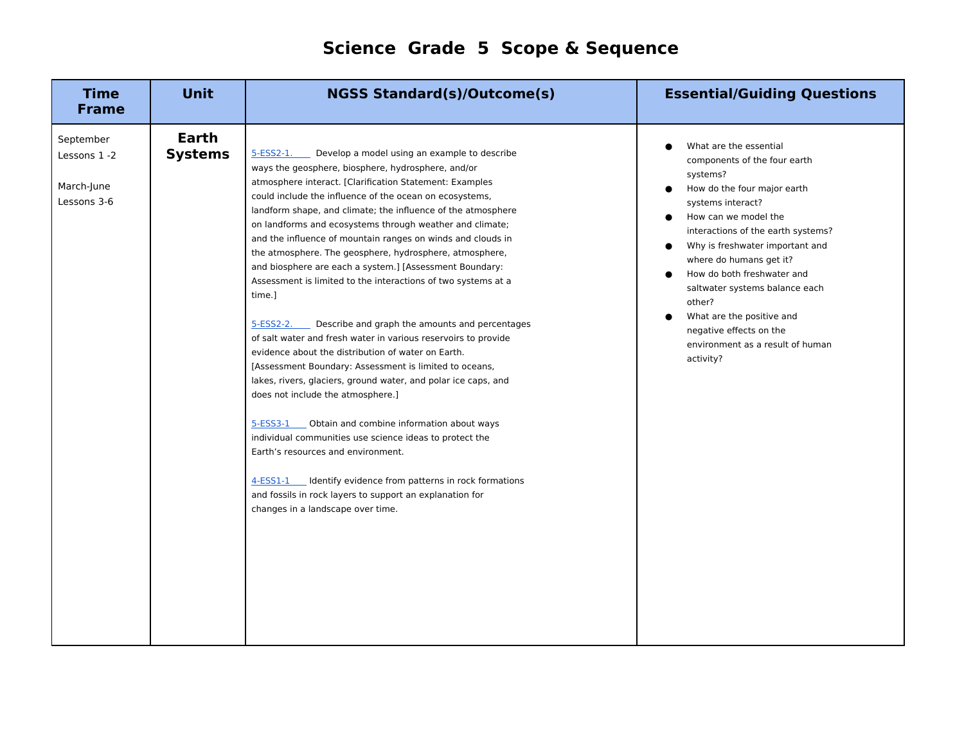## **Science Grade 5 Scope & Sequence**

| <b>Time</b><br><b>Frame</b>                            | <b>Unit</b>             | <b>NGSS Standard(s)/Outcome(s)</b>                                                                                                                                                                                                                                                                                                                                                                                                                                                                                                                                                                                                                                                                                                                                                                                                                                                                                                                                                                                                                                                                                                                                                                                                                                                                               | <b>Essential/Guiding Questions</b>                                                                                                                                                                                                                                                                                                                                                                                                    |
|--------------------------------------------------------|-------------------------|------------------------------------------------------------------------------------------------------------------------------------------------------------------------------------------------------------------------------------------------------------------------------------------------------------------------------------------------------------------------------------------------------------------------------------------------------------------------------------------------------------------------------------------------------------------------------------------------------------------------------------------------------------------------------------------------------------------------------------------------------------------------------------------------------------------------------------------------------------------------------------------------------------------------------------------------------------------------------------------------------------------------------------------------------------------------------------------------------------------------------------------------------------------------------------------------------------------------------------------------------------------------------------------------------------------|---------------------------------------------------------------------------------------------------------------------------------------------------------------------------------------------------------------------------------------------------------------------------------------------------------------------------------------------------------------------------------------------------------------------------------------|
| September<br>Lessons 1 -2<br>March-June<br>Lessons 3-6 | Earth<br><b>Systems</b> | 5-ESS2-1.<br>Develop a model using an example to describe<br>ways the geosphere, biosphere, hydrosphere, and/or<br>atmosphere interact. [Clarification Statement: Examples<br>could include the influence of the ocean on ecosystems,<br>landform shape, and climate; the influence of the atmosphere<br>on landforms and ecosystems through weather and climate;<br>and the influence of mountain ranges on winds and clouds in<br>the atmosphere. The geosphere, hydrosphere, atmosphere,<br>and biosphere are each a system.] [Assessment Boundary:<br>Assessment is limited to the interactions of two systems at a<br>time.]<br>Describe and graph the amounts and percentages<br>5-ESS2-2.<br>of salt water and fresh water in various reservoirs to provide<br>evidence about the distribution of water on Earth.<br>[Assessment Boundary: Assessment is limited to oceans,<br>lakes, rivers, glaciers, ground water, and polar ice caps, and<br>does not include the atmosphere.]<br>5-ESS3-1 Obtain and combine information about ways<br>individual communities use science ideas to protect the<br>Earth's resources and environment.<br>4-ESS1-1 Identify evidence from patterns in rock formations<br>and fossils in rock layers to support an explanation for<br>changes in a landscape over time. | What are the essential<br>components of the four earth<br>systems?<br>How do the four major earth<br>systems interact?<br>How can we model the<br>interactions of the earth systems?<br>Why is freshwater important and<br>where do humans get it?<br>How do both freshwater and<br>saltwater systems balance each<br>other?<br>What are the positive and<br>negative effects on the<br>environment as a result of human<br>activity? |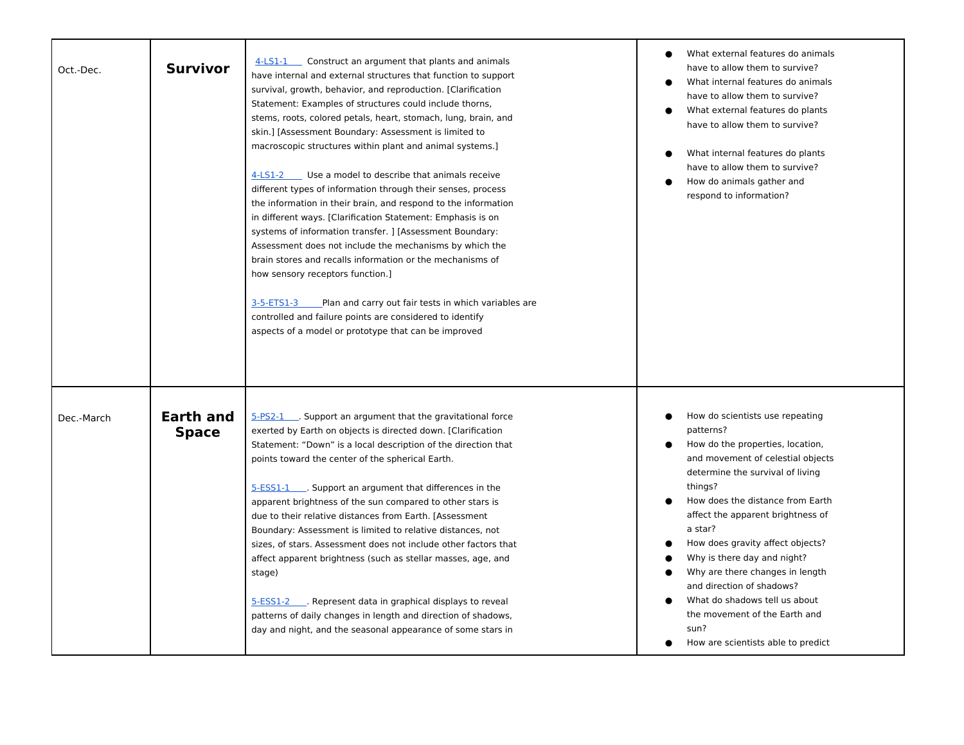| Oct.-Dec.  | <b>Survivor</b>                  | 4-LS1-1 Construct an argument that plants and animals<br>have internal and external structures that function to support<br>survival, growth, behavior, and reproduction. [Clarification<br>Statement: Examples of structures could include thorns,<br>stems, roots, colored petals, heart, stomach, lung, brain, and<br>skin.] [Assessment Boundary: Assessment is limited to<br>macroscopic structures within plant and animal systems.]<br>$4$ -LS1-2 Use a model to describe that animals receive<br>different types of information through their senses, process<br>the information in their brain, and respond to the information<br>in different ways. [Clarification Statement: Emphasis is on<br>systems of information transfer. ] [Assessment Boundary:<br>Assessment does not include the mechanisms by which the<br>brain stores and recalls information or the mechanisms of<br>how sensory receptors function.]<br>3-5-ETS1-3<br>Plan and carry out fair tests in which variables are<br>controlled and failure points are considered to identify<br>aspects of a model or prototype that can be improved | What external features do animals<br>have to allow them to survive?<br>What internal features do animals<br>have to allow them to survive?<br>What external features do plants<br>have to allow them to survive?<br>What internal features do plants<br>have to allow them to survive?<br>How do animals gather and<br>respond to information?                                                                                                                                                              |
|------------|----------------------------------|-------------------------------------------------------------------------------------------------------------------------------------------------------------------------------------------------------------------------------------------------------------------------------------------------------------------------------------------------------------------------------------------------------------------------------------------------------------------------------------------------------------------------------------------------------------------------------------------------------------------------------------------------------------------------------------------------------------------------------------------------------------------------------------------------------------------------------------------------------------------------------------------------------------------------------------------------------------------------------------------------------------------------------------------------------------------------------------------------------------------------|-------------------------------------------------------------------------------------------------------------------------------------------------------------------------------------------------------------------------------------------------------------------------------------------------------------------------------------------------------------------------------------------------------------------------------------------------------------------------------------------------------------|
| Dec.-March | <b>Earth and</b><br><b>Space</b> | 5-PS2-1 . Support an argument that the gravitational force<br>exerted by Earth on objects is directed down. [Clarification<br>Statement: "Down" is a local description of the direction that<br>points toward the center of the spherical Earth.<br>5-ESS1-1 Support an argument that differences in the<br>apparent brightness of the sun compared to other stars is<br>due to their relative distances from Earth. [Assessment<br>Boundary: Assessment is limited to relative distances, not<br>sizes, of stars. Assessment does not include other factors that<br>affect apparent brightness (such as stellar masses, age, and<br>stage)<br>5-ESS1-2 Represent data in graphical displays to reveal<br>patterns of daily changes in length and direction of shadows,<br>day and night, and the seasonal appearance of some stars in                                                                                                                                                                                                                                                                                  | How do scientists use repeating<br>patterns?<br>How do the properties, location,<br>and movement of celestial objects<br>determine the survival of living<br>things?<br>How does the distance from Earth<br>affect the apparent brightness of<br>a star?<br>How does gravity affect objects?<br>Why is there day and night?<br>Why are there changes in length<br>and direction of shadows?<br>What do shadows tell us about<br>the movement of the Earth and<br>sun?<br>How are scientists able to predict |